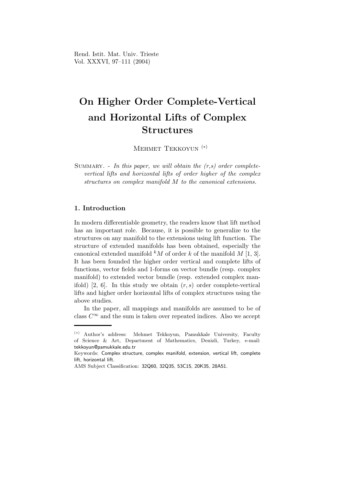Rend. Istit. Mat. Univ. Trieste Vol. XXXVI, 97–111 (2004)

# On Higher Order Complete-Vertical and Horizontal Lifts of Complex Structures

Mehmet Tekkoyun (∗)

SUMMARY. - In this paper, we will obtain the  $(r,s)$  order completevertical lifts and horizontal lifts of order higher of the complex structures on complex manifold M to the canonical extensions.

## 1. Introduction

In modern differentiable geometry, the readers know that lift method has an important role. Because, it is possible to generalize to the structures on any manifold to the extensions using lift function. The structure of extended manifolds has been obtained, especially the canonical extended manifold  $kM$  of order k of the manifold M [1, 3]. It has been founded the higher order vertical and complete lifts of functions, vector fields and 1-forms on vector bundle (resp. complex manifold) to extended vector bundle (resp. extended complex manifold) [2, 6]. In this study we obtain  $(r, s)$  order complete-vertical lifts and higher order horizontal lifts of complex structures using the above studies.

In the paper, all mappings and manifolds are assumed to be of class  $C^{\infty}$  and the sum is taken over repeated indices. Also we accept

<sup>(</sup>∗) Author's address: Mehmet Tekkoyun, Pamukkale University, Faculty of Science & Art, Department of Mathematics, Denizli, Turkey, e-mail: tekkoyun@pamukkale.edu.tr

Keywords: Complex structure, complex manifold, extension, vertical lift, complete lift, horizontal lift.

AMS Subject Classification: 32Q60, 32Q35, 53C15, 20K35, 28A51.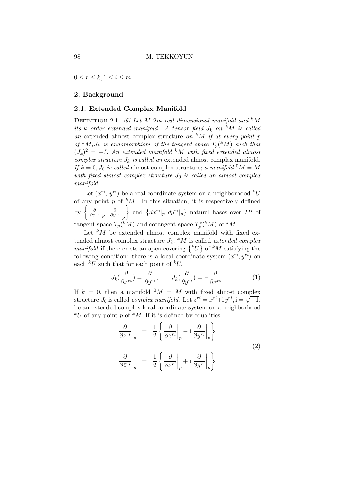$0 \leq r \leq k, 1 \leq i \leq m$ .

### 2. Background

### 2.1. Extended Complex Manifold

DEFINITION 2.1. [6] Let M 2m-real dimensional manifold and  $k$ M its k order extended manifold. A tensor field  $J_k$  on  $^kM$  is called an extended almost complex structure on  $^kM$  if at every point p of  ${}^k M, J_k$  is endomorphism of the tangent space  $T_p({}^k M)$  such that  $(J_k)^2 = -I$ . An extended manifold <sup>k</sup>M with fixed extended almost complex structure  $J_k$  is called an extended almost complex manifold. If  $k = 0, J_0$  is called almost complex structure; a manifold  $^0M = M$ with fixed almost complex structure  $J_0$  is called an almost complex manifold.

Let  $(x^{ri}, y^{ri})$  be a real coordinate system on a neighborhood  $^kU$ of any point  $p$  of  $kM$ . In this situation, it is respectively defined by  $\left\{ \frac{\partial}{\partial x^{ri}} \Big|_p, \frac{\partial}{\partial y^{ri}} \right\}$  $\Big\vert_p$ and  $\{dx^{ri}|_p, dy^{ri}|_p\}$  natural bases over *IR* of tangent space  $T_p({}^k M)$  and cotangent space  $T_p^*$  $p^*(^kM)$  of  $^kM$ .

Let  $kM$  be extended almost complex manifold with fixed extended almost complex structure  $J_k$ . <sup>k</sup>M is called *extended complex* manifold if there exists an open covering  $\{^kU\}$  of  $^kM$  satisfying the following condition: there is a local coordinate system  $(x^{ri}, y^{ri})$  on each  $kU$  such that for each point of  $kU$ ,

$$
J_k(\frac{\partial}{\partial x^{ri}}) = \frac{\partial}{\partial y^{ri}}, \qquad J_k(\frac{\partial}{\partial y^{ri}}) = -\frac{\partial}{\partial x^{ri}}.
$$
 (1)

If  $k = 0$ , then a manifold  $^0M = M$  with fixed almost complex structure  $J_0$  is called *complex manifold*. Let  $z^{ri} = x^{ri} + iy^{ri}$ ,  $i = \sqrt{-1}$ , be an extended complex local coordinate system on a neighborhood  $kU$  of any point p of  $kM$ . If it is defined by equalities

$$
\frac{\partial}{\partial z^{ri}}\Big|_{p} = \frac{1}{2} \left\{ \frac{\partial}{\partial x^{ri}}\Big|_{p} - i \frac{\partial}{\partial y^{ri}}\Big|_{p} \right\}
$$
\n
$$
\frac{\partial}{\partial \bar{z}^{ri}}\Big|_{p} = \frac{1}{2} \left\{ \frac{\partial}{\partial x^{ri}}\Big|_{p} + i \frac{\partial}{\partial y^{ri}}\Big|_{p} \right\}
$$
\n(2)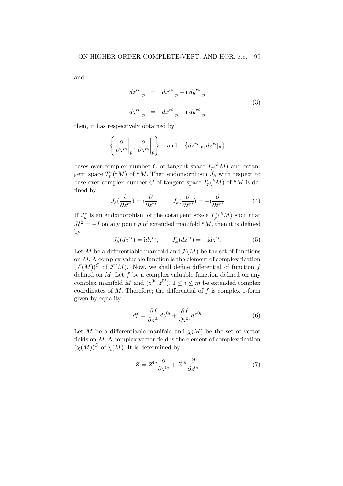and

$$
dz^{ri}|_p = dx^{ri}|_p + i dy^{ri}|_p
$$
  

$$
dz^{ri}|_p = dx^{ri}|_p - i dy^{ri}|_p
$$
 (3)

then, it has respectively obtained by

$$
\left\{ \left. \frac{\partial}{\partial z^{ri}} \right|_{p}, \left. \frac{\partial}{\partial \bar{z}^{ri}} \right|_{p} \right\} \quad \text{and} \quad \left\{ dz^{ri} \right|_{p}, dz^{ri} \right|_{p} \}
$$

bases over complex number C of tangent space  $T_p({}^k M)$  and cotangent space  $T_p^*$  $p^*(kM)$  of  $kM$ . Then endomorphism  $J_k$  with respect to base over complex number C of tangent space  $T_p({}^k M)$  of  ${}^k M$  is defined by

$$
J_k(\frac{\partial}{\partial z^{ri}}) = \mathbf{i}\frac{\partial}{\partial z^{ri}}, \qquad J_k(\frac{\partial}{\partial \bar{z}^{ri}}) = -\mathbf{i}\frac{\partial}{\partial \bar{z}^{ri}}\tag{4}
$$

If  $J_k^*$  $\hat{k}$  is an endomorphism of the cotangent space  $T_p^*$  $p^*(k)$  such that  $J_k^{*2} = -I$  on any point p of extended manifold  $^kM$ , then it is defined by

$$
J_k^*(dz^{ri}) = idz^{ri}, \qquad J_k^*(d\overline{z}^{ri}) = -id\overline{z}^{ri}.
$$
 (5)

Let M be a differentiable manifold and  $\mathcal{F}(M)$  be the set of functions on M. A complex valuable function is the element of complexification  $(\mathcal{F}(M))^C$  of  $\mathcal{F}(M)$ . Now, we shall define differential of function f defined on  $M$ . Let  $f$  be a complex valuable function defined on any complex manifold M and  $(z^{0i}, \bar{z}^{0i}), 1 \le i \le m$  be extended complex coordinates of  $M$ . Therefore; the differential of  $f$  is complex 1-form given by equality

$$
df = \frac{\partial f}{\partial z^{0i}} dz^{0i} + \frac{\partial f}{\partial \bar{z}^{0i}} d\bar{z}^{0i}
$$
 (6)

Let M be a differentiable manifold and  $\chi(M)$  be the set of vector fields on M. A complex vector field is the element of complexification  $(\chi(M))^C$  of  $\chi(M)$ . It is determined by

$$
Z = Z^{0i} \frac{\partial}{\partial z^{0i}} + \bar{Z}^{0i} \frac{\partial}{\partial \bar{z}^{0i}} \tag{7}
$$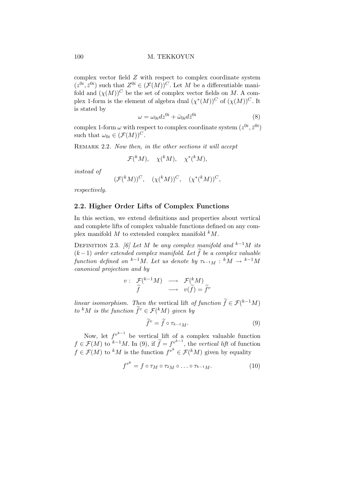#### 100 M. TEKKOYUN

complex vector field Z with respect to complex coordinate system  $(z^{0i}, \bar{z}^{0i})$  such that  $Z^{0i} \in (\mathcal{F}(M))^{C}$ . Let M be a differentiable manifold and  $(\chi(M))^C$  be the set of complex vector fields on M. A complex 1-form is the element of algebra dual  $(\chi^*(M))^C$  of  $(\chi(M))^C$ . It is stated by

$$
\omega = \omega_{0i} dz^{0i} + \bar{\omega}_{0i} d\bar{z}^{0i} \tag{8}
$$

complex 1-form  $\omega$  with respect to complex coordinate system  $(z^{0i}, \bar{z}^{0i})$ such that  $\omega_{0i} \in (\mathcal{F}(M))^C$ .

REMARK 2.2. Now then, in the other sections it will accept

$$
\mathcal{F}(^kM), \quad \chi(^kM), \quad \chi^*(^kM),
$$

instead of

$$
(\mathcal{F}(kM))^C, \quad (\chi(kM))^C, \quad (\chi^*(kM))^C,
$$

respectively.

## 2.2. Higher Order Lifts of Complex Functions

In this section, we extend definitions and properties about vertical and complete lifts of complex valuable functions defined on any complex manifold  $M$  to extended complex manifold  $kM$ .

DEFINITION 2.3. [6] Let M be any complex manifold and  $k^{-1}M$  its  $(k-1)$  order extended complex manifold. Let  $\tilde{f}$  be a complex valuable function defined on  $k^{-1}M$ . Let us denote by  $\tau_{k-1}M : K\rightarrow K^{-1}M$ canonical projection and by

$$
v: \begin{array}{ccc} \mathcal{F}({}^{k-1}M) & \longrightarrow & \mathcal{F}({}^{k}M) \\ \widetilde{f} & \longrightarrow & v(\widetilde{f})=\widetilde{f}^{v} \end{array}
$$

linear isomorphism. Then the vertical lift of function  $\widetilde{f} \in \mathcal{F}(k-1)$ to <sup>k</sup>M is the function  $\tilde{f}^v \in \mathcal{F}({}^k M)$  given by

$$
\widetilde{f}^v = \widetilde{f} \circ \tau_{k-1}.
$$
\n(9)

Now, let  $f^{v^{k-1}}$  be vertical lift of a complex valuable function  $f \in \mathcal{F}(M)$  to  $k-1M$ . In (9), if  $\widetilde{f} = f_{k-1}^{v^{k-1}}$ , the vertical lift of function  $f \in \mathcal{F}(M)$  to <sup>k</sup>M is the function  $f^{v^k} \in \mathcal{F}(kM)$  given by equality

$$
f^{v^k} = f \circ \tau_M \circ \tau_{2M} \circ \dots \circ \tau_{k-1M}.\tag{10}
$$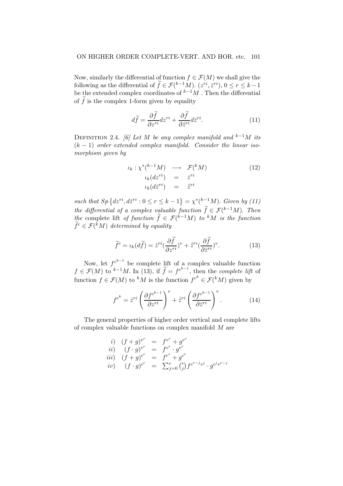Now, similarly the differential of function  $f \in \mathcal{F}(M)$  we shall give the following as the differential of  $\widetilde{f} \in \mathcal{F}(\binom{k-1}{M}, (z^{ri}, \overline{z}^{ri}), 0 \le r \le k-1$ be the extended complex coordinates of  $k-1$ M. Then the differential of  $\tilde{f}$  is the complex 1-form given by equality

$$
d\tilde{f} = \frac{\partial \tilde{f}}{\partial z^{ri}} dz^{ri} + \frac{\partial \tilde{f}}{\partial \bar{z}^{ri}} dz^{ri}.
$$
 (11)

DEFINITION 2.4. [6] Let M be any complex manifold and  $k^{-1}M$  its  $(k-1)$  order extended complex manifold. Consider the linear isomorphism given by

$$
\iota_k : \chi^*(^{k-1}M) \longrightarrow \mathcal{F}(^kM) \n\iota_k(dz^{ri}) = \dot{z}^{ri} \n\iota_k(d\bar{z}^{ri}) = \dot{\bar{z}}^{ri}
$$
\n(12)

such that  $Sp\left\{dz^{ri}, d\bar{z}^{ri} : 0 \leq r \leq k-1\right\} = \chi^{*}\left(\frac{k-1}{\chi}M\right)$ . Given by (11) the differential of a complex valuable function  $\widetilde{f} \in \mathcal{F}(k-1)$ . Then the complete lift of function  $\widetilde{f} \in \mathcal{F}(\overline{k-1}M)$  to  $kM$  is the function  $\widetilde{f}^c \in \mathcal{F}({}^k M)$  determined by equality

$$
\widetilde{f}^c = \iota_k(d\widetilde{f}) = \dot{z}^{ri} \left(\frac{\partial \widetilde{f}}{\partial z^{ri}}\right)^v + \dot{\bar{z}}^{ri} \left(\frac{\partial \widetilde{f}}{\partial \bar{z}^{ri}}\right)^v. \tag{13}
$$

Now, let  $f^{c^{k-1}}$  be complete lift of a complex valuable function  $f \in \mathcal{F}(M)$  to  $k-1M$ . In (13), if  $\widetilde{f} = f^{c^{k-1}}$ , then the *complete lift* of function  $f \in \mathcal{F}(M)$  to <sup>k</sup>M is the function  $f^{c^k} \in \mathcal{F}(kM)$  given by

$$
f^{c^k} = \dot{z}^{ri} \left( \frac{\partial f^{c^{k-1}}}{\partial z^{ri}} \right)^v + \dot{\bar{z}}^{ri} \left( \frac{\partial f^{c^{k-1}}}{\partial \bar{z}^{ri}} \right)^v.
$$
 (14)

The general properties of higher order vertical and complete lifts of complex valuable functions on complex manifold M are

*i*) 
$$
(f+g)^{v^r} = f^{v^r} + g^{v^r}
$$
  
\n*ii*)  $(f \cdot g)^{v^r} = f^{v^r} \cdot g^{v^r}$   
\n*iii*)  $(f+g)^{c^r} = f^{c^r} + g^{c^r}$   
\n*iv*)  $(f \cdot g)^{c^r} = \sum_{j=0}^r {r \choose j} f^{c^{r-j}v^j} \cdot g^{c^jv^{r-j}}$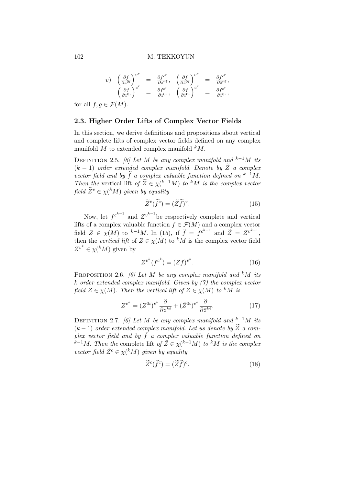$$
\begin{array}{rcl}\n v) & \left(\frac{\partial f}{\partial z^{0i}}\right)^{v^r} & = & \frac{\partial f^{c^r}}{\partial z^{ri}}, \quad \left(\frac{\partial f}{\partial \overline{z}^{0i}}\right)^{v^r} & = & \frac{\partial f^{c^r}}{\partial \overline{z}^{ri}}, \\
& \left(\frac{\partial f}{\partial z^{0i}}\right)^{c^r} & = & \frac{\partial f^{c^r}}{\partial z^{0i}}, \quad \left(\frac{\partial f}{\partial \overline{z}^{0i}}\right)^{c^r} & = & \frac{\partial f^{c^r}}{\partial \overline{z}^{0i}},\n\end{array}
$$

for all  $f, q \in \mathcal{F}(M)$ .

#### 2.3. Higher Order Lifts of Complex Vector Fields

In this section, we derive definitions and propositions about vertical and complete lifts of complex vector fields defined on any complex manifold  $M$  to extended complex manifold  $kM$ .

DEFINITION 2.5. [6] Let M be any complex manifold and  $k^{-1}M$  its  $(k-1)$  order extended complex manifold. Denote by  $\widetilde{Z}$  a complex vector field and by  $\widetilde{f}$  a complex valuable function defined on  $k-1$ M. Then the vertical lift of  $\widetilde{Z} \in \chi$ ( $^{k-1}M$ ) to <sup>k</sup>M is the complex vector field  $\widetilde{Z}^v \in \chi({}^k M)$  given by equality

$$
\widetilde{Z}^v(\widetilde{f}^c) = (\widetilde{Z}\widetilde{f})^v. \tag{15}
$$

Now, let  $f^{c^{k-1}}$  and  $Z^{v^{k-1}}$  be respectively complete and vertical lifts of a complex valuable function  $f \in \mathcal{F}(M)$  and a complex vector field  $Z \in \chi(M)$  to  $^{k-1}M$ . In (15), if  $\widetilde{f} = f^{c^{k-1}}$  and  $\widetilde{Z} = Z^{v^{k-1}}$ , then the vertical lift of  $Z \in \chi(M)$  to <sup>k</sup>M is the complex vector field  $Z^{v^k} \in \chi({}^k M)$  given by

$$
Z^{v^k}(f^{c^k}) = (Zf)^{v^k}.
$$
\n(16)

PROPOSITION 2.6. [6] Let M be any complex manifold and  $k$ M its k order extended complex manifold. Given by (7) the complex vector field  $Z \in \chi(M)$ . Then the vertical lift of  $Z \in \chi(M)$  to <sup>k</sup>M is

$$
Z^{v^k} = (Z^{0i})^{v^k} \frac{\partial}{\partial z^{ki}} + (\bar{Z}^{0i})^{v^k} \frac{\partial}{\partial \bar{z}^{ki}}.
$$
 (17)

DEFINITION 2.7. [6] Let M be any complex manifold and  $k^{-1}M$  its  $(k-1)$  order extended complex manifold. Let us denote by  $\widetilde{Z}$  a complex vector field and by  $\widetilde{f}$  a complex valuable function defined on  $\widetilde{k}$ <sup>-1</sup>M. Then the complete lift of  $\widetilde{Z} \in \chi$ ( $^{k-1}M$ ) to  $^kM$  is the complex vector field  $\widetilde{Z}^c \in \chi({}^k M)$  given by equality

$$
\widetilde{Z}^c(\widetilde{f}^c) = (\widetilde{Z}\widetilde{f})^c. \tag{18}
$$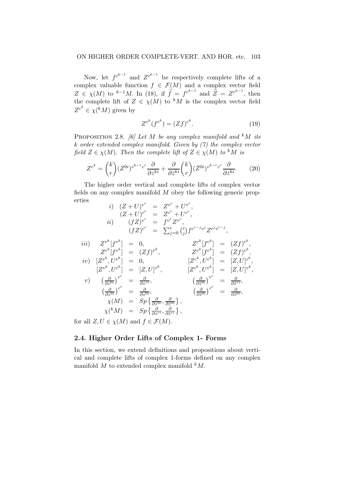#### ON HIGHER ORDER COMPLETE-VERT. AND HOR. etc. 103

Now, let  $f^{c^{k-1}}$  and  $Z^{c^{k-1}}$  be respectively complete lifts of a complex valuable function  $f \in \mathcal{F}(M)$  and a complex vector field  $Z \in \chi(M)$  to <sup>k-1</sup>M. In (18), if  $\tilde{f} = f^{c^{k-1}}$  and  $\tilde{Z} = Z^{c^{k-1}}$ , then the complete lift of  $Z \in \chi(M)$  to <sup>k</sup>M is the complex vector field  $Z^{c^k} \in \chi({}^k M)$  given by

$$
Z^{c^k}(f^{c^k}) = (Zf)^{c^k}.
$$
\n(19)

PROPOSITION 2.8. [6] Let M be any complex manifold and  $k$ M its k order extended complex manifold. Given by (7) the complex vector field  $Z \in \chi(M)$ . Then the complete lift of  $Z \in \chi(M)$  to <sup>k</sup>M is

$$
Z^{c^k} = {k \choose r} (Z^{0i})^{v^{k-r}c^r} \frac{\partial}{\partial z^{ki}} + \frac{\partial}{\partial \bar{z}^{ki}} {k \choose r} (\bar{Z}^{0i})^{v^{k-r}c^r} \frac{\partial}{\partial \bar{z}^{ki}}.
$$
 (20)

The higher order vertical and complete lifts of complex vector fields on any complex manifold M obey the following generic properties r r r

$$
i) (Z+U)^{v^r} = Z^{v^r} + U^{v^r},
$$
  
\n
$$
(Z+U)^{c^r} = Z^{c^r} + U^{c^r},
$$
  
\n
$$
ii) (fZ)^{v^r} = f^{v^r} Z^{v^r},
$$
  
\n
$$
(fZ)^{c^r} = \sum_{j=0}^r {r \choose j} f^{c^{r-j}v^j} Z^{c^jv^{r-j}},
$$
  
\n
$$
iii) Z^{v^k} [f^{v^k}] = 0, \qquad Z^{c^k} [f^{c^k}] = (Zf)^{c^k},
$$
  
\n
$$
Z^{c^k} [f^{v^k}] = (Zf)^{v^k}, \qquad Z^{v^k} [f^{c^k}] = (Zf)^{v^k},
$$
  
\n
$$
iv) [Z^{v^k}, U^{v^k}] = 0, \qquad [Z^{c^k}, U^{c^k}] = [Z, U]^{c^k},
$$
  
\n
$$
[Z^{v^k}, U^{c^k}] = [Z, U]^{v^k}, \qquad [Z^{c^k}, U^{v^k}] = [Z, U]^{v^k},
$$
  
\n
$$
v) \left(\frac{\partial}{\partial z^{0i}}\right)^{v^r} = \frac{\partial}{\partial z^{ri}}, \qquad \left(\frac{\partial}{\partial \bar{z}^{0i}}\right)^{v^r} = \frac{\partial}{\partial \bar{z}^{ri}},
$$
  
\n
$$
\chi(M) = Sp\{\frac{\partial}{\partial z^{0i}}, \frac{\partial}{\partial \bar{z}^{0i}}\},
$$
  
\n
$$
\chi(^kM) = Sp\{\frac{\partial}{\partial z^{ri}}, \frac{\partial}{\partial \bar{z}^{ri}}\},
$$

for all  $Z, U \in \chi(M)$  and  $f \in \mathcal{F}(M)$ .

## 2.4. Higher Order Lifts of Complex 1- Forms

In this section, we extend definitions and propositions about vertical and complete lifts of complex 1-forms defined on any complex manifold  $M$  to extended complex manifold  $kM$ .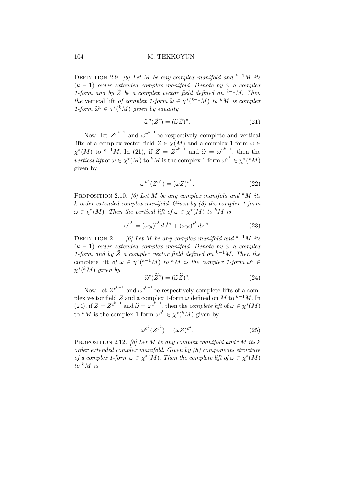#### 104 M. TEKKOYUN

DEFINITION 2.9. [6] Let M be any complex manifold and  $k^{-1}M$  its  $(k-1)$  order extended complex manifold. Denote by  $\tilde{\omega}$  a complex 1-form and by  $\widetilde{Z}$  be a complex vector field defined on <sup>k−1</sup>M. Then the vertical lift of complex 1-form  $\widetilde{\omega} \in \chi^*(k-1)$  to kM is complex 1-form  $\widetilde{\omega}^v \in \chi^*(kM)$  given by equality

$$
\widetilde{\omega}^v(\widetilde{Z}^c) = (\widetilde{\omega}\widetilde{Z})^v. \tag{21}
$$

Now, let  $Z^{c^{k-1}}$  and  $\omega^{v^{k-1}}$  be respectively complete and vertical lifts of a complex vector field  $Z \in \chi(M)$  and a complex 1-form  $\omega \in$  $\chi^*(M)$  to <sup>k-1</sup>M. In (21), if  $\widetilde{Z} = Z^{c^{k-1}}$  and  $\widetilde{\omega} = \omega^{v^{k-1}}$ , then the vertical lift of  $\omega \in \chi^*(M)$  to <sup>k</sup>M is the complex 1-form  $\omega^{v^k} \in \chi^*(kM)$ given by

$$
\omega^{v^k}(Z^{c^k}) = (\omega Z)^{v^k}.
$$
\n(22)

PROPOSITION 2.10. [6] Let M be any complex manifold and  $k$ M its k order extended complex manifold. Given by (8) the complex 1-form  $\omega \in \chi^*(M)$ . Then the vertical lift of  $\omega \in \chi^*(M)$  to <sup>k</sup>M is

$$
\omega^{v^k} = (\omega_{0i})^{v^k} dz^{0i} + (\bar{\omega}_{0i})^{v^k} d\bar{z}^{0i}.
$$
 (23)

DEFINITION 2.11. [6] Let M be any complex manifold and  $k^{-1}M$  its  $(k-1)$  order extended complex manifold. Denote by  $\tilde{\omega}$  a complex 1-form and by  $\widetilde{Z}$  a complex vector field defined on <sup>k−1</sup>M. Then the complete lift of  $\widetilde{\omega} \in \chi^*(k-1)M$  to k<sup>k</sup>M is the complex 1-form  $\widetilde{\omega}^c \in$  $\chi^{\ast}(\overline{k}M)$  given by

$$
\widetilde{\omega}^c(\widetilde{Z}^c) = (\widetilde{\omega}\widetilde{Z})^c. \tag{24}
$$

Now, let  $Z^{c^{k-1}}$  and  $\omega^{c^{k-1}}$  be respectively complete lifts of a complex vector field Z and a complex 1-form  $\omega$  defined on M to  $k^{-1}M$ . In (24), if  $\widetilde{Z} = Z^{c^{k-1}}$  and  $\widetilde{\omega} = \omega^{c^{k-1}}$ , then the *complete lift* of  $\omega \in \chi^*(M)$ to <sup>k</sup>M is the complex 1-form  $\omega^{c^k} \in \chi^*(kM)$  given by

$$
\omega^{c^k}(Z^{c^k}) = (\omega Z)^{c^k}.
$$
\n(25)

PROPOSITION 2.12. [6] Let M be any complex manifold and <sup>k</sup>M its k order extended complex manifold. Given by (8) components structure of a complex 1-form  $\omega \in \chi^*(M)$ . Then the complete lift of  $\omega \in \chi^*(M)$ to  $k$  M is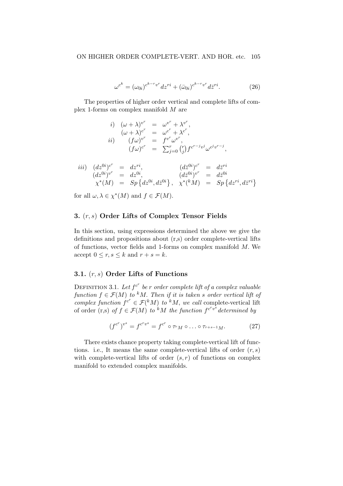$$
\omega^{c^k} = (\omega_{0i})^{c^{k-r}v^r} dz^{ri} + (\bar{\omega}_{0i})^{c^{k-r}v^r} d\bar{z}^{ri}.
$$
 (26)

The properties of higher order vertical and complete lifts of complex 1-forms on complex manifold M are

$$
i) \quad (\omega + \lambda)^{v^r} = \omega^{v^r} + \lambda^{v^r},
$$
  
\n
$$
(\omega + \lambda)^{c^r} = \omega^{c^r} + \lambda^{c^r},
$$
  
\n
$$
ii) \quad (f\omega)^{v^r} = f^{v^r}\omega^{v^r},
$$
  
\n
$$
(f\omega)^{c^r} = \sum_{j=0}^r {r \choose j} f^{c^{r-j}v^j} \omega^{c^j v^{r-j}},
$$

$$
iii) (dz^{0i})^{c^r} = dz^{ri}, (dz^{0i})^{c^r} = d\overline{z}^{ri}
$$
  
\n
$$
(dz^{0i})^{v^r} = dz^{0i}, (d\overline{z}^{0i})^{v^r} = d\overline{z}^{0i}
$$
  
\n
$$
\chi^*(M) = Sp\{dz^{0i}, d\overline{z}^{0i}\}, \chi^*(^kM) = Sp\{dz^{ri}, dz^{ri}\}
$$

for all  $\omega, \lambda \in \chi^*(M)$  and  $f \in \mathcal{F}(M)$ .

## 3. (r, s) Order Lifts of Complex Tensor Fields

In this section, using expressions determined the above we give the definitions and propositions about (r,s) order complete-vertical lifts of functions, vector fields and 1-forms on complex manifold M. We accept  $0 \leq r, s \leq k$  and  $r + s = k$ .

## 3.1.  $(r, s)$  Order Lifts of Functions

DEFINITION 3.1. Let  $f^{c^r}$  be r order complete lift of a complex valuable function  $f \in \mathcal{F}(M)$  to <sup>k</sup>M. Then if it is taken s order vertical lift of complex function  $f^{c^r} \in \mathcal{F}({}^k M)$  to  ${}^k M$ , we call complete-vertical lift of order (r,s) of  $f \in \mathcal{F}(M)$  to <sup>k</sup>M the function  $f^{c^rv^s}$  determined by

$$
(f^{c^r})^{v^s} = f^{c^r v^s} = f^{c^r} \circ \tau_r \circ \dots \circ \tau_{r+s-1} \circ \dots \tag{27}
$$

There exists chance property taking complete-vertical lift of functions. i.e., It means the same complete-vertical lifts of order  $(r, s)$ with complete-vertical lifts of order  $(s, r)$  of functions on complex manifold to extended complex manifolds.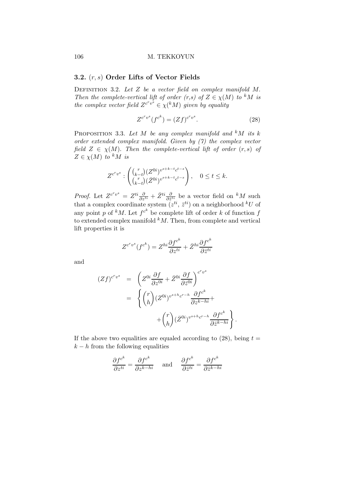## 3.2. (r, s) Order Lifts of Vector Fields

DEFINITION 3.2. Let  $Z$  be a vector field on complex manifold  $M$ . Then the complete-vertical lift of order  $(r,s)$  of  $Z \in \chi(M)$  to <sup>k</sup>M is the complex vector field  $Z^{c^r v^s} \in \chi({}^k M)$  given by equality

$$
Z^{c^r v^s} (f^{c^k}) = (Zf)^{c^r v^s}.
$$
\n(28)

PROPOSITION 3.3. Let M be any complex manifold and  $kM$  its k order extended complex manifold. Given by (7) the complex vector field  $Z \in \chi(M)$ . Then the complete-vertical lift of order  $(r, s)$  of  $Z \in \chi(M)$  to <sup>k</sup>M is

$$
Z^{c^r v^s} : \begin{pmatrix} {r \choose k-t} (Z^{0i})^{v^{s+k-t}c^{t-s}} \\ {r \choose k-t} (\bar{Z}^{0i})^{v^{s+k-t}c^{t-s}} \end{pmatrix}, \quad 0 \le t \le k.
$$

*Proof.* Let  $Z^{c^r v^s} = Z^{ti} \frac{\partial}{\partial z^{ti}} + \bar{Z}^{ti} \frac{\partial}{\partial \bar{z}^{ti}}$  be a vector field on  $^k M$  such that a complex coordinate system  $(z^{ti}, \bar{z}^{ti})$  on a neighborhood  $^kU$  of any point p of <sup>k</sup>M. Let  $f^{c^k}$  be complete lift of order k of function f to extended complex manifold  $k$ M. Then, from complete and vertical lift properties it is

$$
Z^{c^rv^s}(f^{c^k}) = Z^{hi} \frac{\partial f^{c^k}}{\partial z^{ti}} + \bar{Z}^{hi} \frac{\partial f^{c^k}}{\partial \bar{z}^{ti}}
$$

and

$$
(Zf)^{c^r v^s} = \left(Z^{0i} \frac{\partial f}{\partial z^{0i}} + \bar{Z}^{0i} \frac{\partial f}{\partial \bar{z}^{0i}}\right)^{c^r v^s}
$$
  

$$
= \left\{ \binom{r}{h} (Z^{0i})^{v^{s+h} c^{r-h}} \frac{\partial f^{c^k}}{\partial z^{k-hi}} + \binom{r}{h} (\bar{Z}^{0i})^{v^{s+h} c^{r-h}} \frac{\partial f^{c^k}}{\partial \bar{z}^{k-hi}} \right\}.
$$

If the above two equalities are equaled according to  $(28)$ , being  $t =$  $k - h$  from the following equalities

$$
\frac{\partial f^{c^k}}{\partial z^{ti}} = \frac{\partial f^{c^k}}{\partial z^{k-hi}} \quad \text{and} \quad \frac{\partial f^{c^k}}{\partial \bar{z}^{ti}} = \frac{\partial f^{c^k}}{\partial \bar{z}^{k-hi}}
$$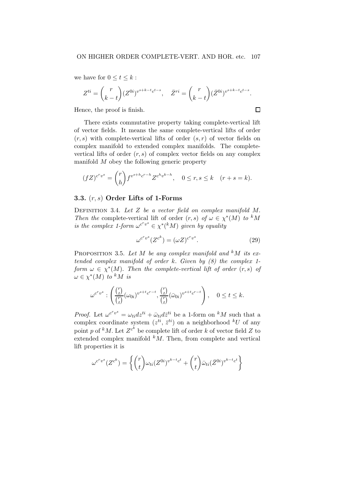we have for  $0 \le t \le k$ :

$$
Z^{ti} = \binom{r}{k-t} (Z^{0i})^{v^{s+k-t}c^{t-s}}, \quad \bar{Z}^{ri} = \binom{r}{k-t} (\bar{Z}^{0i})^{v^{s+k-t}c^{t-s}}.
$$

Hence, the proof is finish.

There exists commutative property taking complete-vertical lift of vector fields. It means the same complete-vertical lifts of order  $(r, s)$  with complete-vertical lifts of order  $(s, r)$  of vector fields on complex manifold to extended complex manifolds. The completevertical lifts of order  $(r, s)$  of complex vector fields on any complex manifold M obey the following generic property

$$
(fZ)^{c^r v^s} = {r \choose h} f^{v^{s+h}c^{r-h}} Z^{c^h v^{k-h}}, \quad 0 \le r, s \le k \quad (r+s=k).
$$

## 3.3.  $(r, s)$  Order Lifts of 1-Forms

DEFINITION 3.4. Let  $Z$  be a vector field on complex manifold  $M$ . Then the complete-vertical lift of order  $(r, s)$  of  $\omega \in \chi^*(M)$  to <sup>k</sup>M is the complex 1-form  $\omega^{c^r v^s} \in \chi^*(kM)$  given by equality

$$
\omega^{c^r v^s} (Z^{c^k}) = (\omega Z)^{c^r v^s}.
$$
\n(29)

 $\Box$ 

PROPOSITION 3.5. Let M be any complex manifold and <sup>k</sup>M its extended complex manifold of order  $k$ . Given by  $(8)$  the complex 1form  $\omega \in \chi^*(M)$ . Then the complete-vertical lift of order  $(r, s)$  of  $\omega \in \chi^*(M)$  to <sup>k</sup>M is

$$
\omega^{c^rv^s}: \left(\frac{\binom{r}{t}}{\binom{r}{t}}(\omega_{0i})^{v^{s+t}c^{r-t}}, \frac{\binom{r}{t}}{\binom{r}{t}}(\bar{\omega}_{0i})^{v^{s+t}c^{r-t}}\right), \quad 0 \le t \le k.
$$

*Proof.* Let  $\omega^{c^r v^s} = \omega_{ti} dz^{ti} + \bar{\omega}_{ti} d\bar{z}^{ti}$  be a 1-form on <sup>k</sup>M such that a complex coordinate system  $(z^{ti}, \bar{z}^{ti})$  on a neighborhood  $^kU$  of any point p of <sup>k</sup>M. Let  $Z^{c^k}$  be complete lift of order k of vector field Z to extended complex manifold  $^{k}M$ . Then, from complete and vertical lift properties it is

$$
\omega^{c^r v^s}(Z^{c^k}) = \left\{ \binom{r}{t} \omega_{ti}(Z^{0i})^{v^{k-t}c^t} + \binom{r}{t} \bar{\omega}_{ti}(\bar{Z}^{0i})^{v^{k-t}c^t} \right\}
$$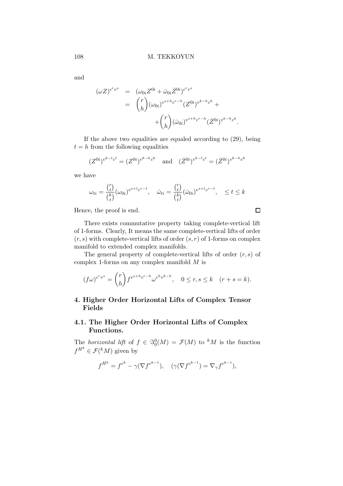and

$$
(\omega Z)^{c^r v^s} = (\omega_{0i} Z^{0i} + \bar{\omega}_{0i} \bar{Z}^{0i})^{c^r v^s}
$$
  
= 
$$
{r \choose h} (\omega_{0i})^{v^{s+h} c^{r-h}} (Z^{0i})^{v^{k-h} c^h} +
$$

$$
+ {r \choose h} (\bar{\omega}_{0i})^{v^{s+h} c^{r-h}} (\bar{Z}^{0i})^{v^{k-h} c^h}
$$

If the above two equalities are equaled according to (29), being  $t = h$  from the following equalities

$$
(Z^{0i})^{v^{k-t}c^t} = (Z^{0i})^{v^{k-h}c^h}
$$
 and  $(\bar{Z}^{0i})^{v^{k-t}c^t} = (\bar{Z}^{0i})^{v^{k-h}c^h}$ 

we have

$$
\omega_{ti} = \frac{\binom{r}{t}}{\binom{k}{t}} (\omega_{0i})^{v^{s+t}c^{r-t}}, \quad \bar{\omega}_{ti} = \frac{\binom{r}{t}}{\binom{k}{t}} (\bar{\omega}_{0i})^{v^{s+t}c^{r-t}}, \quad \leq t \leq k
$$

Hence, the proof is end.

There exists commutative property taking complete-vertical lift of 1-forms. Clearly, It means the same complete-vertical lifts of order  $(r, s)$  with complete-vertical lifts of order  $(s, r)$  of 1-forms on complex manifold to extended complex manifolds.

The general property of complete-vertical lifts of order  $(r, s)$  of complex 1-forms on any complex manifold M is

$$
(f\omega)^{c^rv^s} = \binom{r}{h} f^{v^{s+h}c^{r-h}} \omega^{c^hv^{k-h}}, \quad 0 \le r, s \le k \quad (r+s=k).
$$

# 4. Higher Order Horizontal Lifts of Complex Tensor Fields

## 4.1. The Higher Order Horizontal Lifts of Complex Functions.

The horizontal lift of  $f \in \Im_0^0(M) = \mathcal{F}(M)$  to <sup>k</sup>M is the function  $f^{H^k} \in \mathcal{F}({}^k M)$  given by

$$
f^{H^k} = f^{c^k} - \gamma (\nabla f^{c^{k-1}}), \quad (\gamma (\nabla f^{c^{k-1}}) = \nabla_\gamma f^{c^{k-1}}),
$$

 $\Box$ 

.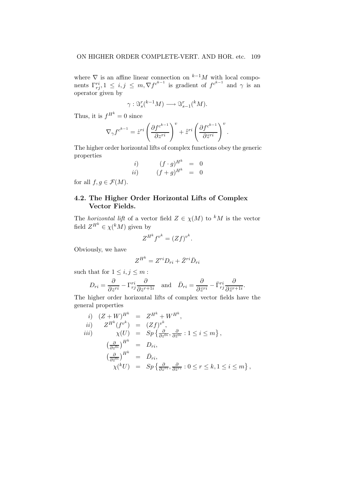where  $\nabla$  is an affine linear connection on  $k-1$ M with local components  $\Gamma_{rj}^{ri}$ ,  $1 \leq i, j \leq m, \nabla f^{c^{k-1}}$  is gradient of  $f^{c^{k-1}}$  and  $\gamma$  is an operator given by

$$
\gamma: \Im_s^r({}^{k-1}M) \longrightarrow \Im_{s-1}^r({}^kM).
$$

Thus, it is  $f^{H^k} = 0$  since

$$
\nabla_{\gamma} f^{c^{k-1}} = \dot{z}^{ri} \left( \frac{\partial f^{c^{k-1}}}{\partial z^{ri}} \right)^{v} + \dot{\bar{z}}^{ri} \left( \frac{\partial f^{c^{k-1}}}{\partial \bar{z}^{ri}} \right)^{v}.
$$

The higher order horizontal lifts of complex functions obey the generic properties

$$
\begin{array}{rcl}\ni) & (f \cdot g)^{H^k} & = & 0\\ii) & (f+g)^{H^k} & = & 0\n\end{array}
$$

for all  $f, g \in \mathcal{F}(M)$ .

# 4.2. The Higher Order Horizontal Lifts of Complex Vector Fields.

The *horizontal lift* of a vector field  $Z \in \chi(M)$  to <sup>k</sup>M is the vector field  $Z^{H^k} \in \chi({}^k M)$  given by

$$
Z^{H^k} f^{v^k} = (Zf)^{v^k}.
$$

Obviously, we have

$$
Z^{H^k} = Z^{ri}D_{ri} + \bar{Z}^{ri}\bar{D}_{ri}
$$

such that for  $1 \leq i, j \leq m$ :

$$
D_{ri} = \frac{\partial}{\partial z^{ri}} - \Gamma_{rj}^{ri} \frac{\partial}{\partial z^{r+1i}} \quad \text{and} \quad \bar{D}_{ri} = \frac{\partial}{\partial \bar{z}^{ri}} - \bar{\Gamma}_{rj}^{ri} \frac{\partial}{\partial \bar{z}^{r+1i}}.
$$

The higher order horizontal lifts of complex vector fields have the general properties

*i)* 
$$
(Z + W)^{H^k} = Z^{H^k} + W^{H^k}
$$
,  
\n*ii)*  $Z^{H^k}(f^{v^k}) = (Zf)^{v^k}$ ,  
\n*iii)*  $\chi(U) = Sp\left\{\frac{\partial}{\partial z^{0i}}, \frac{\partial}{\partial \overline{z}^{0i}} : 1 \le i \le m\right\}$ ,  
\n $\left(\frac{\partial}{\partial z^{0i}}\right)^{H^k} = D_{ri}$ ,  
\n $\chi^{\left(kU\right)} = Sp\left\{\frac{\partial}{\partial z^{ri}}, \frac{\partial}{\partial \overline{z}^{ri}} : 0 \le r \le k, 1 \le i \le m\right\}$ ,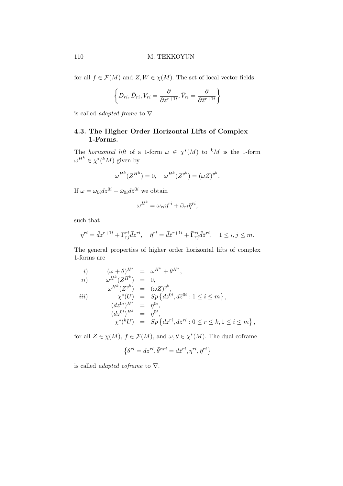for all  $f \in \mathcal{F}(M)$  and  $Z, W \in \chi(M)$ . The set of local vector fields

$$
\left\{D_{ri}, \bar{D}_{ri}, V_{ri} = \frac{\partial}{\partial z^{r+1i}}, \bar{V}_{ri} = \frac{\partial}{\partial \bar{z}^{r+1i}}\right\}
$$

is called *adapted frame* to  $\nabla$ .

# 4.3. The Higher Order Horizontal Lifts of Complex 1-Forms.

The *horizontal lift* of a 1-form  $\omega \in \chi^*(M)$  to <sup>k</sup>M is the 1-form  $\omega^{H^k} \in \chi^*(^kM)$  given by

$$
\omega^{H^k}(Z^{H^k}) = 0, \quad \omega^{H^k}(Z^{v^k}) = (\omega Z)^{v^k}.
$$

If  $\omega = \omega_{0i} dz^{0i} + \bar{\omega}_{0i} d\bar{z}^{0i}$  we obtain

$$
\omega^{H^k} = \omega_{ri} \eta^{ri} + \bar{\omega}_{ri} \bar{\eta}^{ri},
$$

such that

$$
\eta^{ri} = \bar{d}z^{r+1i} + \Gamma_{rj}^{ri}\bar{d}z^{ri}, \quad \bar{\eta}^{ri} = \bar{d}\bar{z}^{r+1i} + \bar{\Gamma}_{rj}^{ri}\bar{d}\bar{z}^{ri}, \quad 1 \le i, j \le m.
$$

The general properties of higher order horizontal lifts of complex 1-forms are

*i)* 
$$
(\omega + \theta)^{H^k} = \omega^{H^k} + \theta^{H^k}
$$
,  
\n*ii)*  $\omega^{H^k}(Z^{H^k}) = 0$ ,  
\n $\omega^{H^k}(Z^{v^k}) = (\omega Z)^{v^k}$ ,  
\n*iii)*  $\chi^*(U) = Sp\{dz^{0i}, d\overline{z}^{0i} : 1 \le i \le m\}$ ,  
\n $(dz^{0i})^{H^k} = \eta^{0i}$ ,  
\n $(d\overline{z}^{0i})^{H^k} = \overline{\eta}^{0i}$ ,  
\n $\chi^*({}^kU) = Sp\{dz^{ri}, d\overline{z}^{ri} : 0 \le r \le k, 1 \le i \le m\}$ ,

for all  $Z \in \chi(M)$ ,  $f \in \mathcal{F}(M)$ , and  $\omega, \theta \in \chi^*(M)$ . The dual coframe

$$
\{\theta^{ri}=dz^{ri}, \bar{\theta}^{\alpha ri}=d\bar{z}^{ri}, \eta^{ri}, \bar{\eta}^{ri}\}
$$

is called *adapted coframe* to  $\nabla$ .